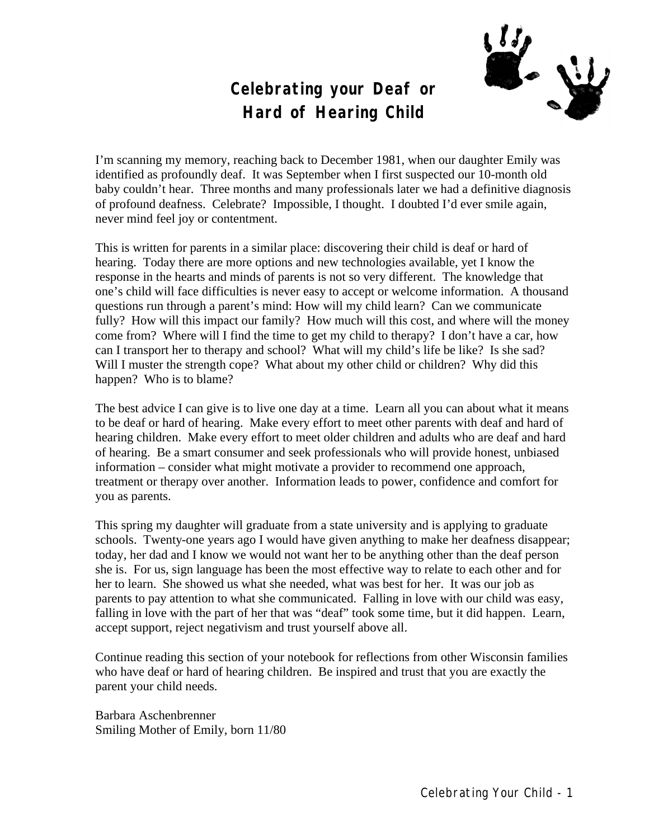### **Celebrating your Deaf or Hard of Hearing Child**



I'm scanning my memory, reaching back to December 1981, when our daughter Emily was identified as profoundly deaf. It was September when I first suspected our 10-month old baby couldn't hear. Three months and many professionals later we had a definitive diagnosis of profound deafness. Celebrate? Impossible, I thought. I doubted I'd ever smile again, never mind feel joy or contentment.

This is written for parents in a similar place: discovering their child is deaf or hard of hearing. Today there are more options and new technologies available, yet I know the response in the hearts and minds of parents is not so very different. The knowledge that one's child will face difficulties is never easy to accept or welcome information. A thousand questions run through a parent's mind: How will my child learn? Can we communicate fully? How will this impact our family? How much will this cost, and where will the money come from? Where will I find the time to get my child to therapy? I don't have a car, how can I transport her to therapy and school? What will my child's life be like? Is she sad? Will I muster the strength cope? What about my other child or children? Why did this happen? Who is to blame?

The best advice I can give is to live one day at a time. Learn all you can about what it means to be deaf or hard of hearing. Make every effort to meet other parents with deaf and hard of hearing children. Make every effort to meet older children and adults who are deaf and hard of hearing. Be a smart consumer and seek professionals who will provide honest, unbiased information – consider what might motivate a provider to recommend one approach, treatment or therapy over another. Information leads to power, confidence and comfort for you as parents.

This spring my daughter will graduate from a state university and is applying to graduate schools. Twenty-one years ago I would have given anything to make her deafness disappear; today, her dad and I know we would not want her to be anything other than the deaf person she is. For us, sign language has been the most effective way to relate to each other and for her to learn. She showed us what she needed, what was best for her. It was our job as parents to pay attention to what she communicated. Falling in love with our child was easy, falling in love with the part of her that was "deaf" took some time, but it did happen. Learn, accept support, reject negativism and trust yourself above all.

Continue reading this section of your notebook for reflections from other Wisconsin families who have deaf or hard of hearing children. Be inspired and trust that you are exactly the parent your child needs.

Barbara Aschenbrenner Smiling Mother of Emily, born 11/80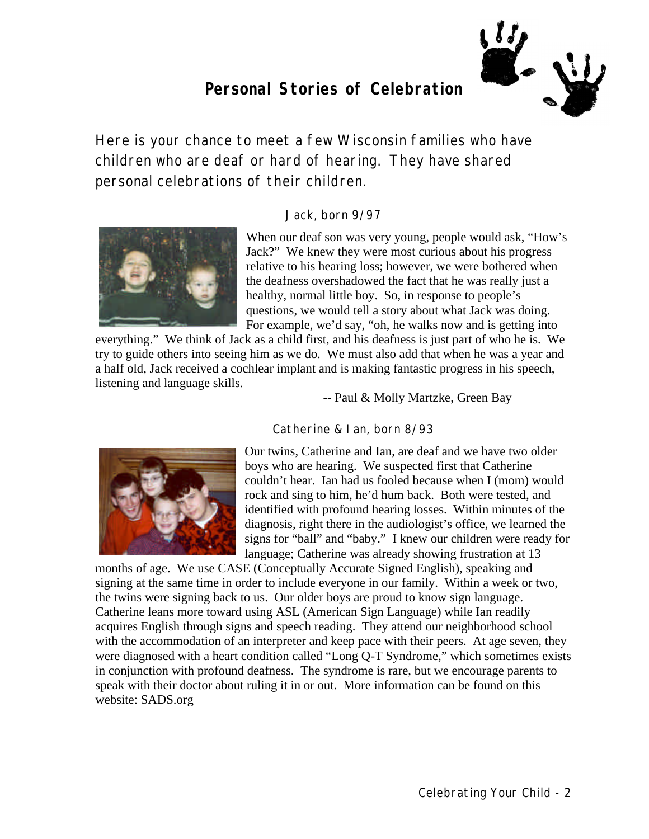### **Personal Stories of Celebration**



*Here is your chance to meet a few Wisconsin families who have children who are deaf or hard of hearing. They have shared personal celebrations of their children.*

#### Jack, born 9/97



When our deaf son was very young, people would ask, "How's Jack?" We knew they were most curious about his progress relative to his hearing loss; however, we were bothered when the deafness overshadowed the fact that he was really just a healthy, normal little boy. So, in response to people's questions, we would tell a story about what Jack was doing. For example, we'd say, "oh, he walks now and is getting into

everything." We think of Jack as a child first, and his deafness is just part of who he is. We try to guide others into seeing him as we do. We must also add that when he was a year and a half old, Jack received a cochlear implant and is making fantastic progress in his speech, listening and language skills.

-- Paul & Molly Martzke, Green Bay

### Catherine & Ian, born 8/93



Our twins, Catherine and Ian, are deaf and we have two older boys who are hearing. We suspected first that Catherine couldn't hear. Ian had us fooled because when I (mom) would rock and sing to him, he'd hum back. Both were tested, and identified with profound hearing losses. Within minutes of the diagnosis, right there in the audiologist's office, we learned the signs for "ball" and "baby." I knew our children were ready for language; Catherine was already showing frustration at 13

months of age. We use CASE (Conceptually Accurate Signed English), speaking and signing at the same time in order to include everyone in our family. Within a week or two, the twins were signing back to us. Our older boys are proud to know sign language. Catherine leans more toward using ASL (American Sign Language) while Ian readily acquires English through signs and speech reading. They attend our neighborhood school with the accommodation of an interpreter and keep pace with their peers. At age seven, they were diagnosed with a heart condition called "Long Q-T Syndrome," which sometimes exists in conjunction with profound deafness. The syndrome is rare, but we encourage parents to speak with their doctor about ruling it in or out. More information can be found on this website: SADS.org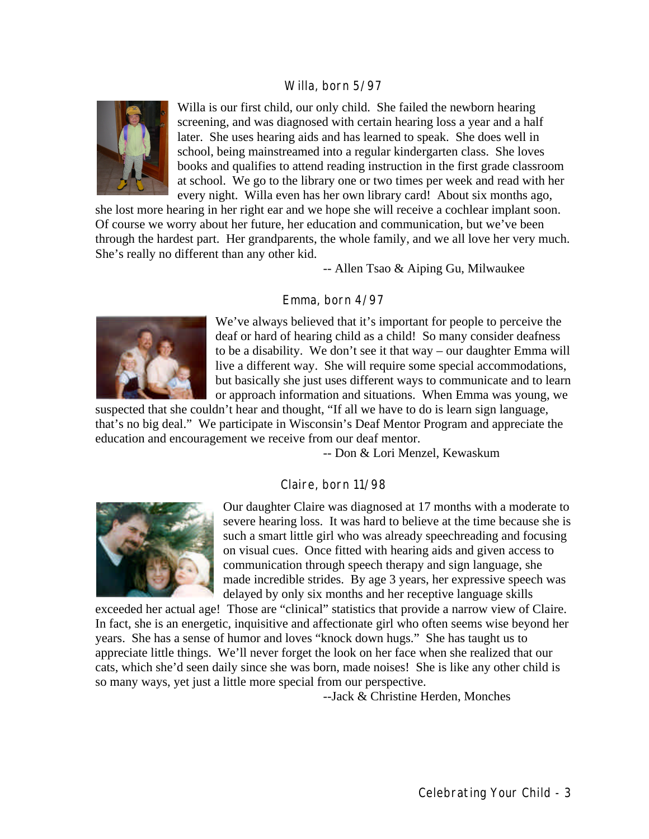#### Willa, born 5/97



Willa is our first child, our only child. She failed the newborn hearing screening, and was diagnosed with certain hearing loss a year and a half later. She uses hearing aids and has learned to speak. She does well in school, being mainstreamed into a regular kindergarten class. She loves books and qualifies to attend reading instruction in the first grade classroom at school. We go to the library one or two times per week and read with her every night. Willa even has her own library card! About six months ago,

she lost more hearing in her right ear and we hope she will receive a cochlear implant soon. Of course we worry about her future, her education and communication, but we've been through the hardest part. Her grandparents, the whole family, and we all love her very much. She's really no different than any other kid.

-- Allen Tsao & Aiping Gu, Milwaukee

#### Emma, born 4/97



We've always believed that it's important for people to perceive the deaf or hard of hearing child as a child! So many consider deafness to be a disability. We don't see it that way – our daughter Emma will live a different way. She will require some special accommodations, but basically she just uses different ways to communicate and to learn or approach information and situations. When Emma was young, we

suspected that she couldn't hear and thought, "If all we have to do is learn sign language, that's no big deal." We participate in Wisconsin's Deaf Mentor Program and appreciate the education and encouragement we receive from our deaf mentor.

-- Don & Lori Menzel, Kewaskum

#### Claire, born 11/98



Our daughter Claire was diagnosed at 17 months with a moderate to severe hearing loss. It was hard to believe at the time because she is such a smart little girl who was already speechreading and focusing on visual cues. Once fitted with hearing aids and given access to communication through speech therapy and sign language, she made incredible strides. By age 3 years, her expressive speech was delayed by only six months and her receptive language skills

exceeded her actual age! Those are "clinical" statistics that provide a narrow view of Claire. In fact, she is an energetic, inquisitive and affectionate girl who often seems wise beyond her years. She has a sense of humor and loves "knock down hugs." She has taught us to appreciate little things. We'll never forget the look on her face when she realized that our cats, which she'd seen daily since she was born, made noises! She is like any other child is so many ways, yet just a little more special from our perspective.

--Jack & Christine Herden, Monches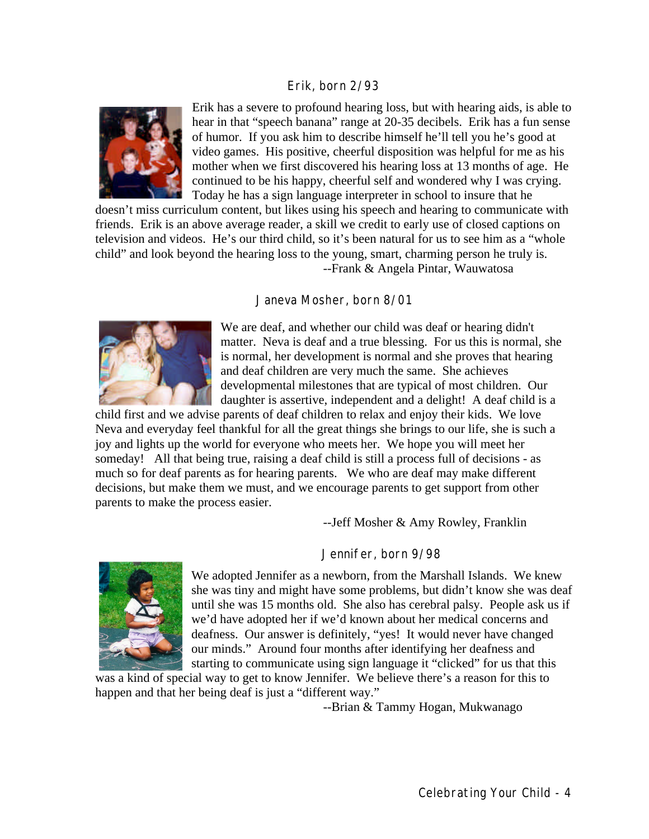#### Erik, born 2/93



Erik has a severe to profound hearing loss, but with hearing aids, is able to hear in that "speech banana" range at 20-35 decibels. Erik has a fun sense of humor. If you ask him to describe himself he'll tell you he's good at video games. His positive, cheerful disposition was helpful for me as his mother when we first discovered his hearing loss at 13 months of age. He continued to be his happy, cheerful self and wondered why I was crying. Today he has a sign language interpreter in school to insure that he

doesn't miss curriculum content, but likes using his speech and hearing to communicate with friends. Erik is an above average reader, a skill we credit to early use of closed captions on television and videos. He's our third child, so it's been natural for us to see him as a "whole child" and look beyond the hearing loss to the young, smart, charming person he truly is. --Frank & Angela Pintar, Wauwatosa

#### Janeva Mosher, born 8/01



We are deaf, and whether our child was deaf or hearing didn't matter. Neva is deaf and a true blessing. For us this is normal, she is normal, her development is normal and she proves that hearing and deaf children are very much the same. She achieves developmental milestones that are typical of most children. Our daughter is assertive, independent and a delight! A deaf child is a

child first and we advise parents of deaf children to relax and enjoy their kids. We love Neva and everyday feel thankful for all the great things she brings to our life, she is such a joy and lights up the world for everyone who meets her. We hope you will meet her someday! All that being true, raising a deaf child is still a process full of decisions - as much so for deaf parents as for hearing parents. We who are deaf may make different decisions, but make them we must, and we encourage parents to get support from other parents to make the process easier.

--Jeff Mosher & Amy Rowley, Franklin

#### Jennifer, born 9/98



We adopted Jennifer as a newborn, from the Marshall Islands. We knew she was tiny and might have some problems, but didn't know she was deaf until she was 15 months old. She also has cerebral palsy. People ask us if we'd have adopted her if we'd known about her medical concerns and deafness. Our answer is definitely, "yes! It would never have changed our minds." Around four months after identifying her deafness and starting to communicate using sign language it "clicked" for us that this

was a kind of special way to get to know Jennifer. We believe there's a reason for this to happen and that her being deaf is just a "different way."

--Brian & Tammy Hogan, Mukwanago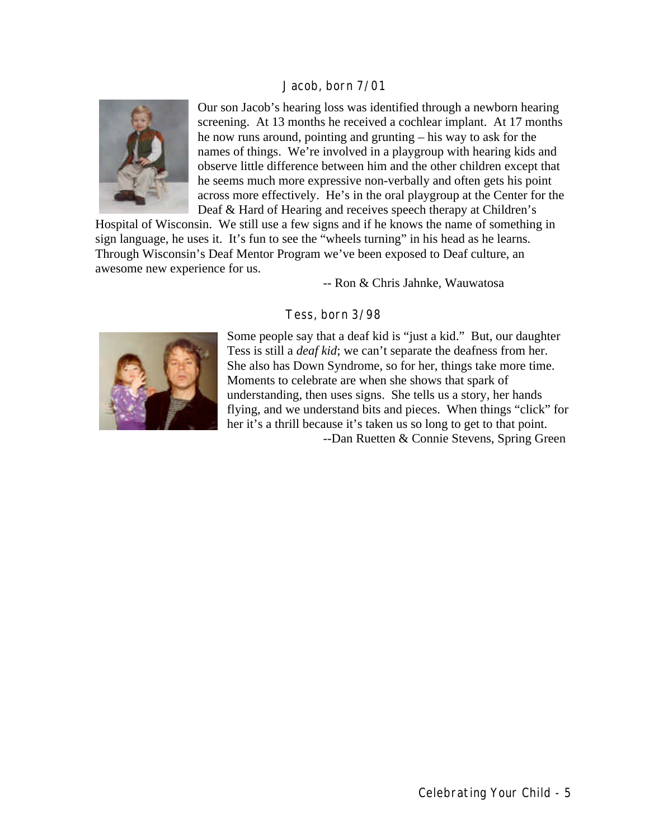#### Jacob, born 7/01



Our son Jacob's hearing loss was identified through a newborn hearing screening. At 13 months he received a cochlear implant. At 17 months he now runs around, pointing and grunting – his way to ask for the names of things. We're involved in a playgroup with hearing kids and observe little difference between him and the other children except that he seems much more expressive non-verbally and often gets his point across more effectively. He's in the oral playgroup at the Center for the Deaf & Hard of Hearing and receives speech therapy at Children's

Hospital of Wisconsin. We still use a few signs and if he knows the name of something in sign language, he uses it. It's fun to see the "wheels turning" in his head as he learns. Through Wisconsin's Deaf Mentor Program we've been exposed to Deaf culture, an awesome new experience for us.

-- Ron & Chris Jahnke, Wauwatosa

#### Tess, born 3/98



Some people say that a deaf kid is "just a kid." But, our daughter Tess is still a *deaf kid*; we can't separate the deafness from her. She also has Down Syndrome, so for her, things take more time. Moments to celebrate are when she shows that spark of understanding, then uses signs. She tells us a story, her hands flying, and we understand bits and pieces. When things "click" for her it's a thrill because it's taken us so long to get to that point. --Dan Ruetten & Connie Stevens, Spring Green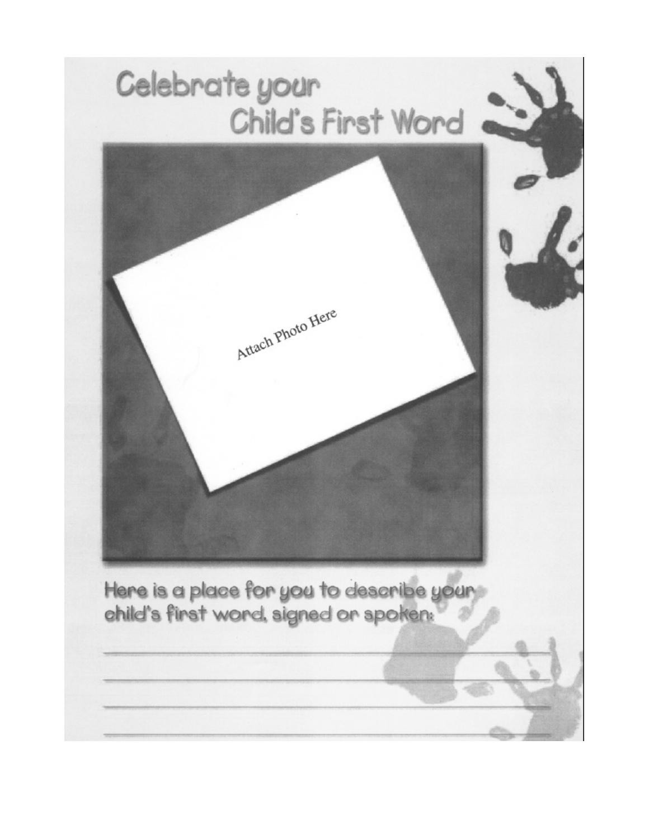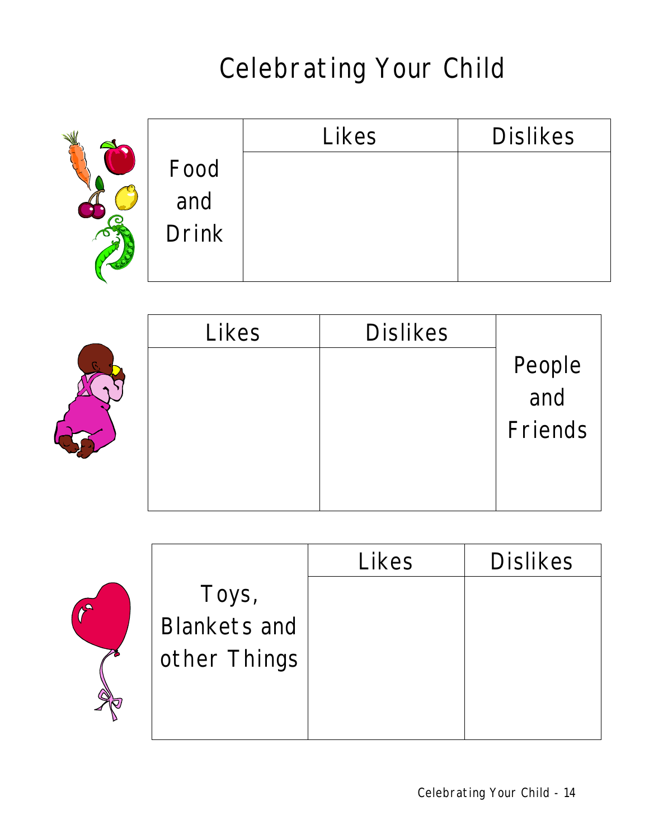# Celebrating Your Child

|              | Likes | <b>Dislikes</b> |
|--------------|-------|-----------------|
| Food         |       |                 |
| and          |       |                 |
| <b>Drink</b> |       |                 |
|              |       |                 |

| Likes | <b>Dislikes</b> |               |
|-------|-----------------|---------------|
|       |                 | People<br>and |
|       |                 |               |
|       |                 | Friends       |
|       |                 |               |
|       |                 |               |



 $r$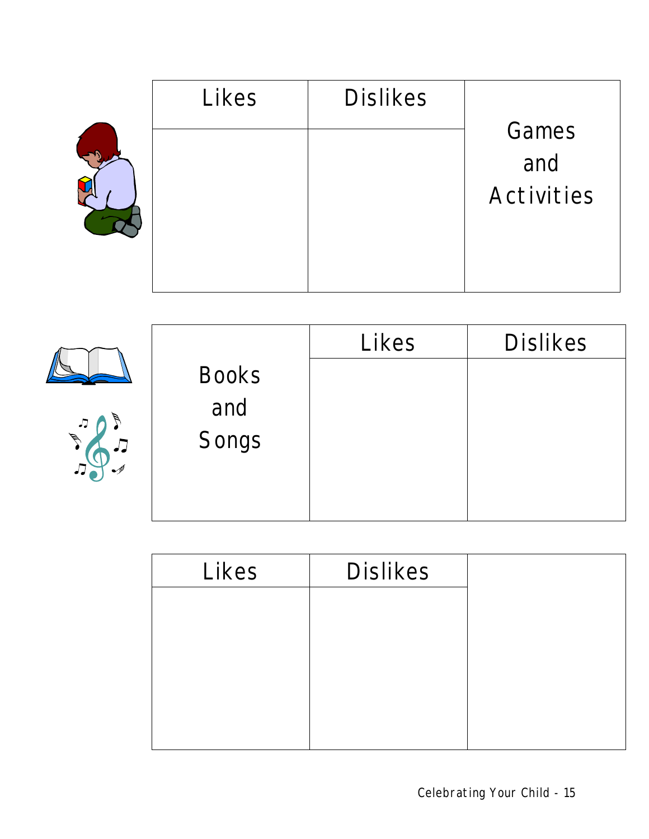| Likes | <b>Dislikes</b> |            |
|-------|-----------------|------------|
|       |                 | Games      |
|       |                 | and        |
|       |                 | Activities |
|       |                 |            |

|                            |              | Likes | <b>Dislikes</b> |
|----------------------------|--------------|-------|-----------------|
|                            | <b>Books</b> |       |                 |
| $\boldsymbol{\mathcal{J}}$ | and          |       |                 |
| $\cancel{\phi}$            | Songs        |       |                 |
|                            |              |       |                 |

| Likes | <b>Dislikes</b> |  |
|-------|-----------------|--|
|       |                 |  |
|       |                 |  |
|       |                 |  |
|       |                 |  |
|       |                 |  |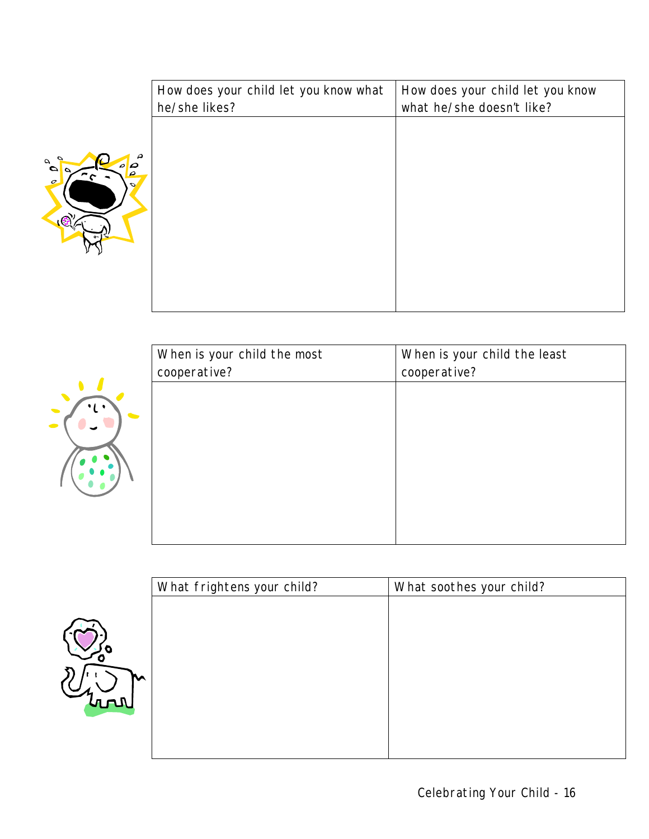|                                                      | How does your child let you know what | How does your child let you know<br>what he/she doesn't like? |
|------------------------------------------------------|---------------------------------------|---------------------------------------------------------------|
|                                                      | he/she likes?                         |                                                               |
|                                                      |                                       |                                                               |
| ρ<br>$\overline{\boldsymbol{\rho}}$<br>$\mathcal{Q}$ |                                       |                                                               |
| Ċ.                                                   |                                       |                                                               |
|                                                      |                                       |                                                               |
|                                                      |                                       |                                                               |
|                                                      |                                       |                                                               |
|                                                      |                                       |                                                               |
|                                                      |                                       |                                                               |

| When is your child the most | When is your child the least |
|-----------------------------|------------------------------|
| cooperative?                | cooperative?                 |
|                             |                              |
|                             |                              |
|                             |                              |
|                             |                              |
|                             |                              |
|                             |                              |
|                             |                              |



**B** 

| What frightens your child? | What soothes your child? |  |
|----------------------------|--------------------------|--|
|                            |                          |  |
|                            |                          |  |
|                            |                          |  |
|                            |                          |  |
|                            |                          |  |
|                            |                          |  |
|                            |                          |  |
|                            |                          |  |
|                            |                          |  |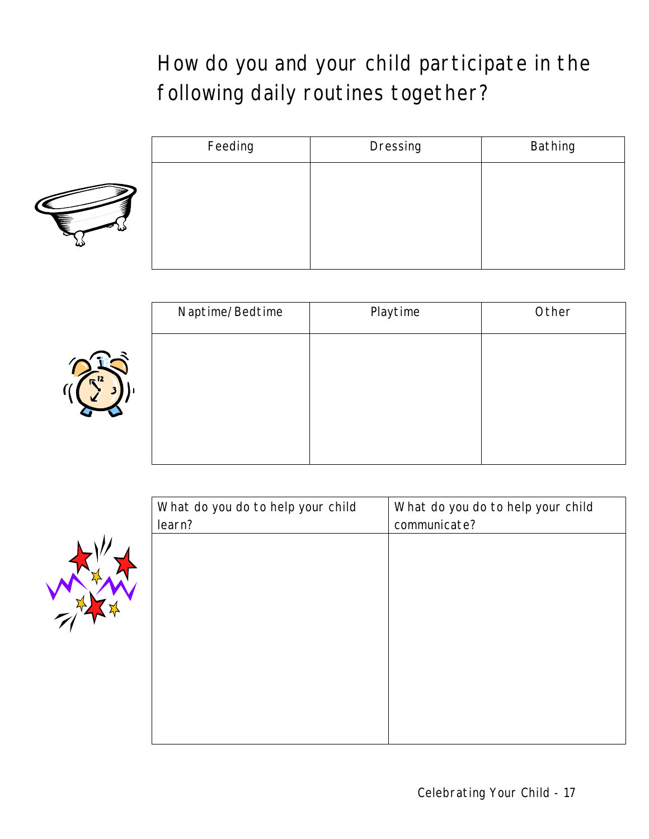### How do you and your child participate in the following daily routines together?



| Feeding | Dressing | Bathing |
|---------|----------|---------|
|         |          |         |
|         |          |         |
|         |          |         |
|         |          |         |
|         |          |         |



| Naptime/Bedtime | Playtime | Other |
|-----------------|----------|-------|
|                 |          |       |
|                 |          |       |
|                 |          |       |
|                 |          |       |
|                 |          |       |

| What do you do to help your child | What do you do to help your child |
|-----------------------------------|-----------------------------------|
| learn?                            | communicate?                      |
|                                   |                                   |
|                                   |                                   |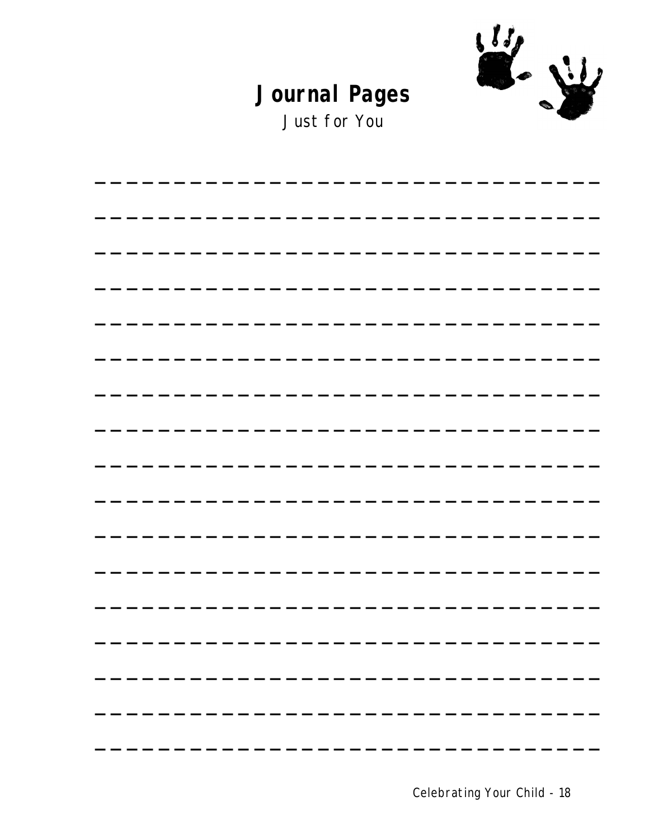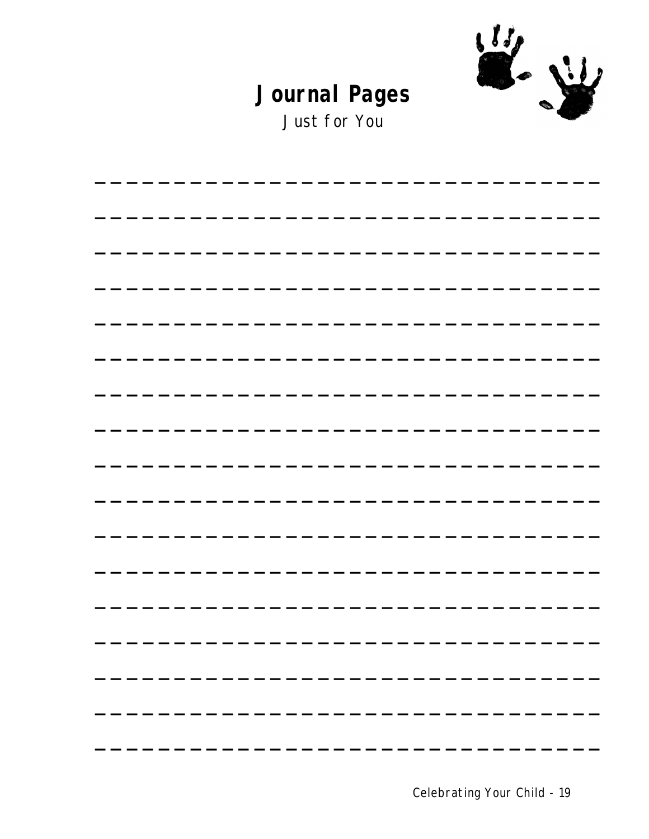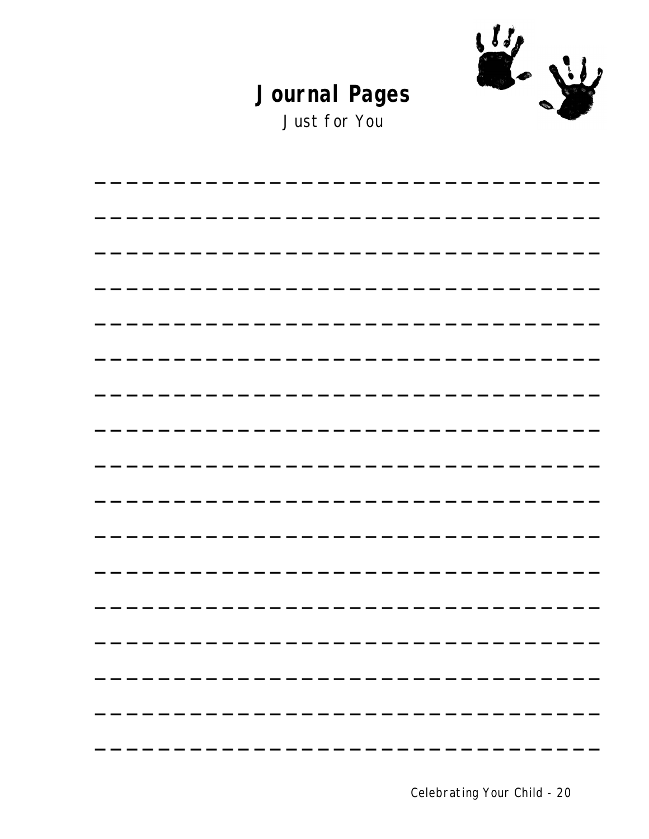

Just for You

Celebrating Your Child - 20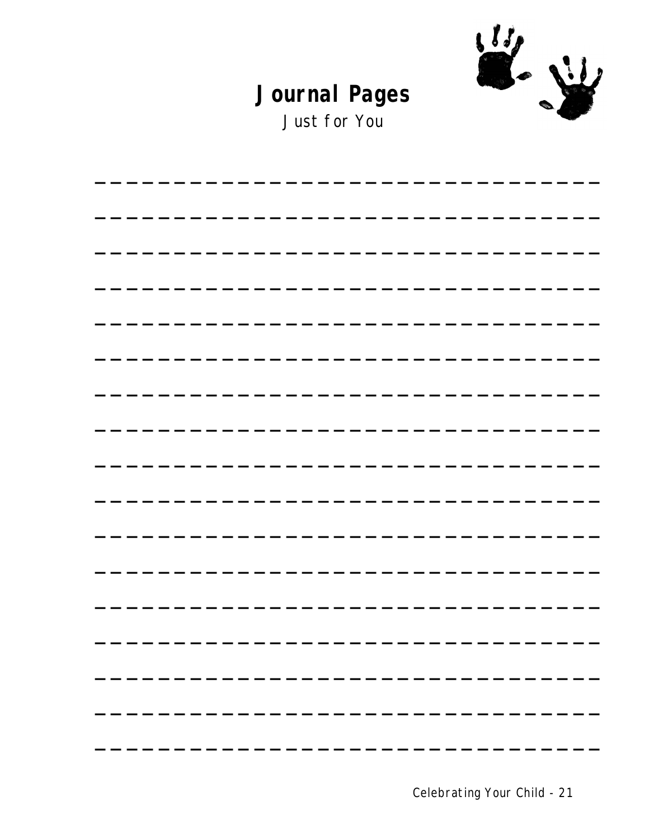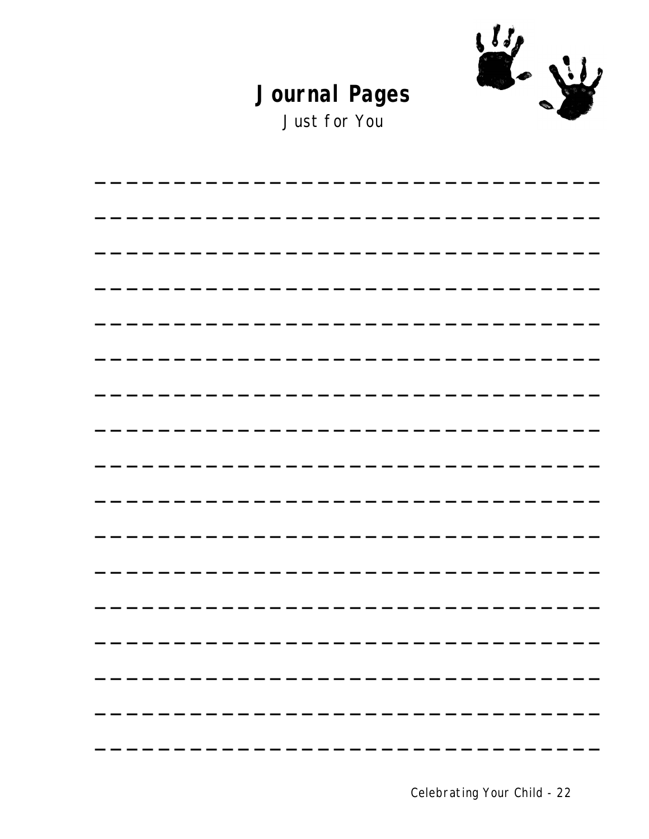

Just for You

Celebrating Your Child - 22